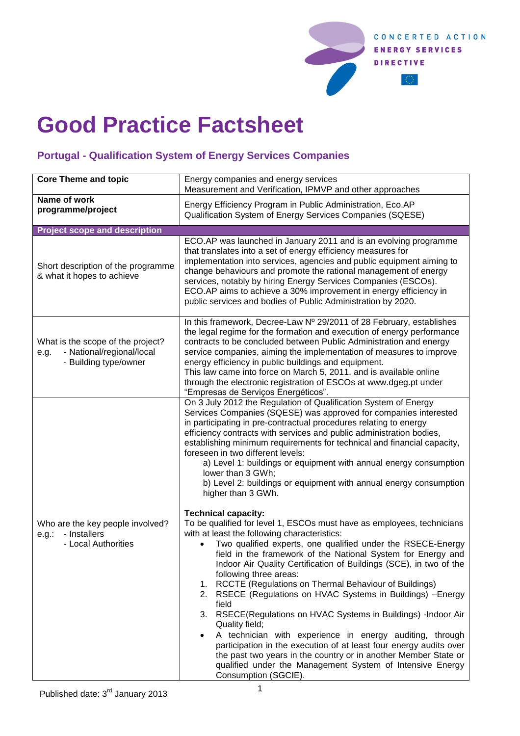

## **Good Practice Factsheet**

## **Portugal - Qualification System of Energy Services Companies**

| <b>Core Theme and topic</b>                                                                     | Energy companies and energy services<br>Measurement and Verification, IPMVP and other approaches                                                                                                                                                                                                                                                                                                                                                                                                                                                                                                                                                                                                                                                                                                                                                                                                                                                                                                                                                                                                                                                                                                                                                                                                                                                                                                                                                                                  |
|-------------------------------------------------------------------------------------------------|-----------------------------------------------------------------------------------------------------------------------------------------------------------------------------------------------------------------------------------------------------------------------------------------------------------------------------------------------------------------------------------------------------------------------------------------------------------------------------------------------------------------------------------------------------------------------------------------------------------------------------------------------------------------------------------------------------------------------------------------------------------------------------------------------------------------------------------------------------------------------------------------------------------------------------------------------------------------------------------------------------------------------------------------------------------------------------------------------------------------------------------------------------------------------------------------------------------------------------------------------------------------------------------------------------------------------------------------------------------------------------------------------------------------------------------------------------------------------------------|
| Name of work<br>programme/project                                                               | Energy Efficiency Program in Public Administration, Eco.AP<br>Qualification System of Energy Services Companies (SQESE)                                                                                                                                                                                                                                                                                                                                                                                                                                                                                                                                                                                                                                                                                                                                                                                                                                                                                                                                                                                                                                                                                                                                                                                                                                                                                                                                                           |
| <b>Project scope and description</b>                                                            |                                                                                                                                                                                                                                                                                                                                                                                                                                                                                                                                                                                                                                                                                                                                                                                                                                                                                                                                                                                                                                                                                                                                                                                                                                                                                                                                                                                                                                                                                   |
| Short description of the programme<br>& what it hopes to achieve                                | ECO.AP was launched in January 2011 and is an evolving programme<br>that translates into a set of energy efficiency measures for<br>implementation into services, agencies and public equipment aiming to<br>change behaviours and promote the rational management of energy<br>services, notably by hiring Energy Services Companies (ESCOs).<br>ECO.AP aims to achieve a 30% improvement in energy efficiency in<br>public services and bodies of Public Administration by 2020.                                                                                                                                                                                                                                                                                                                                                                                                                                                                                                                                                                                                                                                                                                                                                                                                                                                                                                                                                                                                |
| What is the scope of the project?<br>- National/regional/local<br>e.g.<br>- Building type/owner | In this framework, Decree-Law Nº 29/2011 of 28 February, establishes<br>the legal regime for the formation and execution of energy performance<br>contracts to be concluded between Public Administration and energy<br>service companies, aiming the implementation of measures to improve<br>energy efficiency in public buildings and equipment.<br>This law came into force on March 5, 2011, and is available online<br>through the electronic registration of ESCOs at www.dgeg.pt under<br>"Empresas de Serviços Energéticos".                                                                                                                                                                                                                                                                                                                                                                                                                                                                                                                                                                                                                                                                                                                                                                                                                                                                                                                                             |
| Who are the key people involved?<br>e.g.:<br>- Installers<br>- Local Authorities                | On 3 July 2012 the Regulation of Qualification System of Energy<br>Services Companies (SQESE) was approved for companies interested<br>in participating in pre-contractual procedures relating to energy<br>efficiency contracts with services and public administration bodies,<br>establishing minimum requirements for technical and financial capacity,<br>foreseen in two different levels:<br>a) Level 1: buildings or equipment with annual energy consumption<br>lower than 3 GWh;<br>b) Level 2: buildings or equipment with annual energy consumption<br>higher than 3 GWh.<br><b>Technical capacity:</b><br>To be qualified for level 1, ESCOs must have as employees, technicians<br>with at least the following characteristics:<br>Two qualified experts, one qualified under the RSECE-Energy<br>field in the framework of the National System for Energy and<br>Indoor Air Quality Certification of Buildings (SCE), in two of the<br>following three areas:<br>1. RCCTE (Regulations on Thermal Behaviour of Buildings)<br>RSECE (Regulations on HVAC Systems in Buildings) -Energy<br>2.<br>field<br>RSECE(Regulations on HVAC Systems in Buildings) -Indoor Air<br>3.<br>Quality field;<br>A technician with experience in energy auditing, through<br>٠<br>participation in the execution of at least four energy audits over<br>the past two years in the country or in another Member State or<br>qualified under the Management System of Intensive Energy |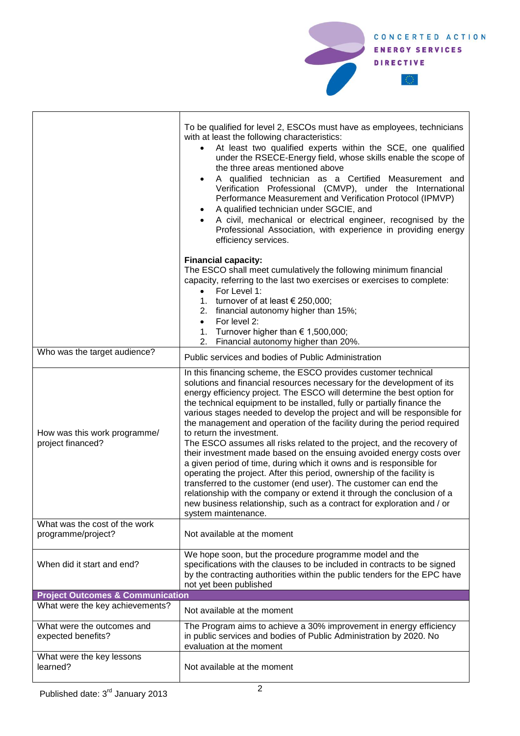

|                                                     | To be qualified for level 2, ESCOs must have as employees, technicians<br>with at least the following characteristics:<br>At least two qualified experts within the SCE, one qualified<br>under the RSECE-Energy field, whose skills enable the scope of<br>the three areas mentioned above<br>A qualified technician as a Certified Measurement and<br>Verification Professional (CMVP), under the International<br>Performance Measurement and Verification Protocol (IPMVP)<br>A qualified technician under SGCIE, and<br>A civil, mechanical or electrical engineer, recognised by the<br>Professional Association, with experience in providing energy<br>efficiency services.                                                                                                                                                                                                                                                                                                                                                 |  |
|-----------------------------------------------------|-------------------------------------------------------------------------------------------------------------------------------------------------------------------------------------------------------------------------------------------------------------------------------------------------------------------------------------------------------------------------------------------------------------------------------------------------------------------------------------------------------------------------------------------------------------------------------------------------------------------------------------------------------------------------------------------------------------------------------------------------------------------------------------------------------------------------------------------------------------------------------------------------------------------------------------------------------------------------------------------------------------------------------------|--|
|                                                     | <b>Financial capacity:</b><br>The ESCO shall meet cumulatively the following minimum financial<br>capacity, referring to the last two exercises or exercises to complete:<br>For Level 1:<br>$\bullet$<br>1. turnover of at least $\epsilon$ 250,000;<br>2. financial autonomy higher than 15%;<br>For level 2:<br>$\bullet$<br>1. Turnover higher than $\epsilon$ 1,500,000;<br>Financial autonomy higher than 20%.<br>2.                                                                                                                                                                                                                                                                                                                                                                                                                                                                                                                                                                                                          |  |
| Who was the target audience?                        | Public services and bodies of Public Administration                                                                                                                                                                                                                                                                                                                                                                                                                                                                                                                                                                                                                                                                                                                                                                                                                                                                                                                                                                                 |  |
| How was this work programme/<br>project financed?   | In this financing scheme, the ESCO provides customer technical<br>solutions and financial resources necessary for the development of its<br>energy efficiency project. The ESCO will determine the best option for<br>the technical equipment to be installed, fully or partially finance the<br>various stages needed to develop the project and will be responsible for<br>the management and operation of the facility during the period required<br>to return the investment.<br>The ESCO assumes all risks related to the project, and the recovery of<br>their investment made based on the ensuing avoided energy costs over<br>a given period of time, during which it owns and is responsible for<br>operating the project. After this period, ownership of the facility is<br>transferred to the customer (end user). The customer can end the<br>relationship with the company or extend it through the conclusion of a<br>new business relationship, such as a contract for exploration and / or<br>system maintenance. |  |
| What was the cost of the work<br>programme/project? | Not available at the moment                                                                                                                                                                                                                                                                                                                                                                                                                                                                                                                                                                                                                                                                                                                                                                                                                                                                                                                                                                                                         |  |
| When did it start and end?                          | We hope soon, but the procedure programme model and the<br>specifications with the clauses to be included in contracts to be signed<br>by the contracting authorities within the public tenders for the EPC have<br>not yet been published                                                                                                                                                                                                                                                                                                                                                                                                                                                                                                                                                                                                                                                                                                                                                                                          |  |
| <b>Project Outcomes &amp; Communication</b>         |                                                                                                                                                                                                                                                                                                                                                                                                                                                                                                                                                                                                                                                                                                                                                                                                                                                                                                                                                                                                                                     |  |
| What were the key achievements?                     | Not available at the moment                                                                                                                                                                                                                                                                                                                                                                                                                                                                                                                                                                                                                                                                                                                                                                                                                                                                                                                                                                                                         |  |
| What were the outcomes and<br>expected benefits?    | The Program aims to achieve a 30% improvement in energy efficiency<br>in public services and bodies of Public Administration by 2020. No<br>evaluation at the moment                                                                                                                                                                                                                                                                                                                                                                                                                                                                                                                                                                                                                                                                                                                                                                                                                                                                |  |
| What were the key lessons<br>learned?               | Not available at the moment                                                                                                                                                                                                                                                                                                                                                                                                                                                                                                                                                                                                                                                                                                                                                                                                                                                                                                                                                                                                         |  |